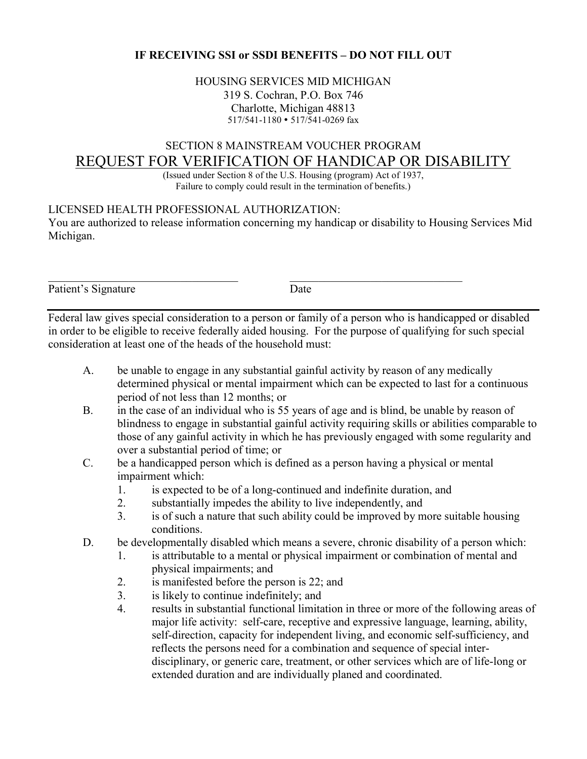## **IF RECEIVING SSI or SSDI BENEFITS – DO NOT FILL OUT**

### HOUSING SERVICES MID MICHIGAN 319 S. Cochran, P.O. Box 746 Charlotte, Michigan 48813 517/541-1180 • 517/541-0269 fax

# SECTION 8 MAINSTREAM VOUCHER PROGRAM REQUEST FOR VERIFICATION OF HANDICAP OR DISABILITY

(Issued under Section 8 of the U.S. Housing (program) Act of 1937, Failure to comply could result in the termination of benefits.)

### LICENSED HEALTH PROFESSIONAL AUTHORIZATION:

You are authorized to release information concerning my handicap or disability to Housing Services Mid Michigan.

Patient's Signature Date

Federal law gives special consideration to a person or family of a person who is handicapped or disabled in order to be eligible to receive federally aided housing. For the purpose of qualifying for such special consideration at least one of the heads of the household must:

- A. be unable to engage in any substantial gainful activity by reason of any medically determined physical or mental impairment which can be expected to last for a continuous period of not less than 12 months; or
- B. in the case of an individual who is 55 years of age and is blind, be unable by reason of blindness to engage in substantial gainful activity requiring skills or abilities comparable to those of any gainful activity in which he has previously engaged with some regularity and over a substantial period of time; or
- C. be a handicapped person which is defined as a person having a physical or mental impairment which:
	- 1. is expected to be of a long-continued and indefinite duration, and
	- 2. substantially impedes the ability to live independently, and
	- 3. is of such a nature that such ability could be improved by more suitable housing conditions.
- D. be developmentally disabled which means a severe, chronic disability of a person which:
	- 1. is attributable to a mental or physical impairment or combination of mental and physical impairments; and
	- 2. is manifested before the person is 22; and
	- 3. is likely to continue indefinitely; and
	- 4. results in substantial functional limitation in three or more of the following areas of major life activity: self-care, receptive and expressive language, learning, ability, self-direction, capacity for independent living, and economic self-sufficiency, and reflects the persons need for a combination and sequence of special interdisciplinary, or generic care, treatment, or other services which are of life-long or extended duration and are individually planed and coordinated.